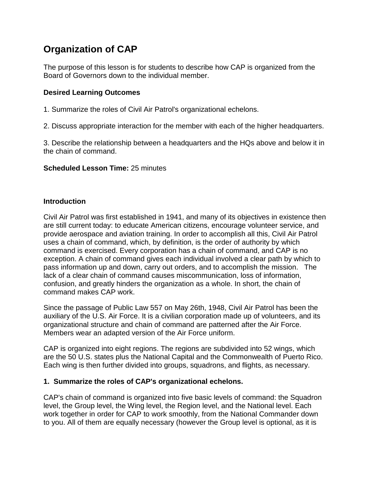# **Organization of CAP**

The purpose of this lesson is for students to describe how CAP is organized from the Board of Governors down to the individual member.

## **Desired Learning Outcomes**

- 1. Summarize the roles of Civil Air Patrol's organizational echelons.
- 2. Discuss appropriate interaction for the member with each of the higher headquarters.

3. Describe the relationship between a headquarters and the HQs above and below it in the chain of command.

#### **Scheduled Lesson Time:** 25 minutes

#### **Introduction**

Civil Air Patrol was first established in 1941, and many of its objectives in existence then are still current today: to educate American citizens, encourage volunteer service, and provide aerospace and aviation training. In order to accomplish all this, Civil Air Patrol uses a chain of command, which, by definition, is the order of authority by which command is exercised. Every corporation has a chain of command, and CAP is no exception. A chain of command gives each individual involved a clear path by which to pass information up and down, carry out orders, and to accomplish the mission. The lack of a clear chain of command causes miscommunication, loss of information, confusion, and greatly hinders the organization as a whole. In short, the chain of command makes CAP work.

Since the passage of Public Law 557 on May 26th, 1948, Civil Air Patrol has been the auxiliary of the U.S. Air Force. It is a civilian corporation made up of volunteers, and its organizational structure and chain of command are patterned after the Air Force. Members wear an adapted version of the Air Force uniform.

CAP is organized into eight regions. The regions are subdivided into 52 wings, which are the 50 U.S. states plus the National Capital and the Commonwealth of Puerto Rico. Each wing is then further divided into groups, squadrons, and flights, as necessary.

#### **1. Summarize the roles of CAP's organizational echelons.**

CAP's chain of command is organized into five basic levels of command: the Squadron level, the Group level, the Wing level, the Region level, and the National level. Each work together in order for CAP to work smoothly, from the National Commander down to you. All of them are equally necessary (however the Group level is optional, as it is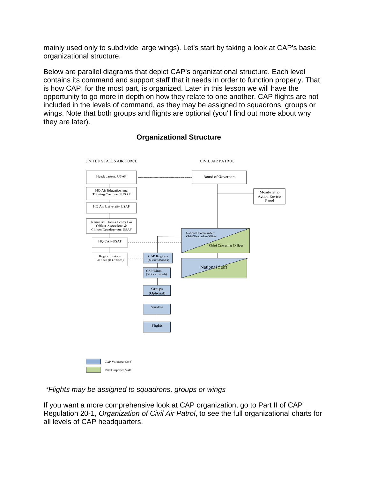mainly used only to subdivide large wings). Let's start by taking a look at CAP's basic organizational structure.

Below are parallel diagrams that depict CAP's organizational structure. Each level contains its command and support staff that it needs in order to function properly. That is how CAP, for the most part, is organized. Later in this lesson we will have the opportunity to go more in depth on how they relate to one another. CAP flights are not included in the levels of command, as they may be assigned to squadrons, groups or wings. Note that both groups and flights are optional (you'll find out more about why they are later).



# **Organizational Structure**

*\*Flights may be assigned to squadrons, groups or wings*

If you want a more comprehensive look at CAP organization, go to Part II of CAP Regulation 20-1, *Organization of Civil Air Patrol*, to see the full organizational charts for all levels of CAP headquarters.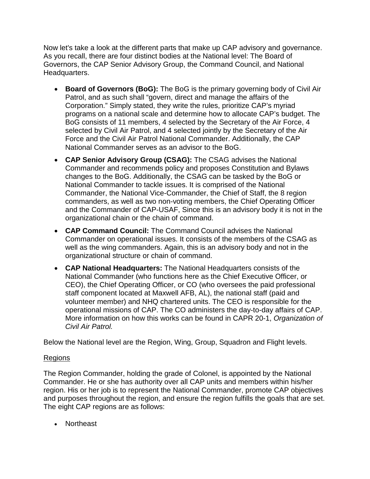Now let's take a look at the different parts that make up CAP advisory and governance. As you recall, there are four distinct bodies at the National level: The Board of Governors, the CAP Senior Advisory Group, the Command Council, and National Headquarters.

- **Board of Governors (BoG):** The BoG is the primary governing body of Civil Air Patrol, and as such shall "govern, direct and manage the affairs of the Corporation." Simply stated, they write the rules, prioritize CAP's myriad programs on a national scale and determine how to allocate CAP's budget. The BoG consists of 11 members, 4 selected by the Secretary of the Air Force, 4 selected by Civil Air Patrol, and 4 selected jointly by the Secretary of the Air Force and the Civil Air Patrol National Commander. Additionally, the CAP National Commander serves as an advisor to the BoG.
- **CAP Senior Advisory Group (CSAG):** The CSAG advises the National Commander and recommends policy and proposes Constitution and Bylaws changes to the BoG. Additionally, the CSAG can be tasked by the BoG or National Commander to tackle issues. It is comprised of the National Commander, the National Vice-Commander, the Chief of Staff, the 8 region commanders, as well as two non-voting members, the Chief Operating Officer and the Commander of CAP-USAF, Since this is an advisory body it is not in the organizational chain or the chain of command.
- **CAP Command Council:** The Command Council advises the National Commander on operational issues. It consists of the members of the CSAG as well as the wing commanders. Again, this is an advisory body and not in the organizational structure or chain of command.
- **CAP National Headquarters:** The National Headquarters consists of the National Commander (who functions here as the Chief Executive Officer, or CEO), the Chief Operating Officer, or CO (who oversees the paid professional staff component located at Maxwell AFB, AL), the national staff (paid and volunteer member) and NHQ chartered units. The CEO is responsible for the operational missions of CAP. The CO administers the day-to-day affairs of CAP. More information on how this works can be found in CAPR 20-1, *Organization of Civil Air Patrol.*

Below the National level are the Region, Wing, Group, Squadron and Flight levels.

#### Regions

The Region Commander, holding the grade of Colonel, is appointed by the National Commander. He or she has authority over all CAP units and members within his/her region. His or her job is to represent the National Commander, promote CAP objectives and purposes throughout the region, and ensure the region fulfills the goals that are set. The eight CAP regions are as follows:

• Northeast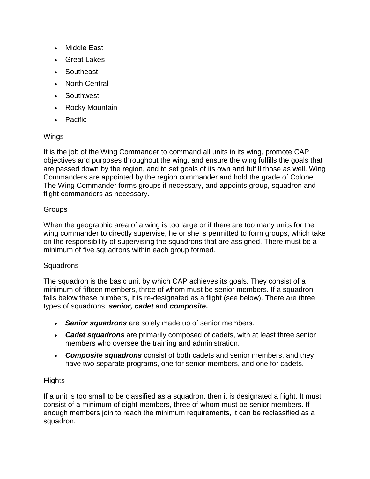- Middle East
- Great Lakes
- Southeast
- North Central
- Southwest
- Rocky Mountain
- Pacific

## Wings

It is the job of the Wing Commander to command all units in its wing, promote CAP objectives and purposes throughout the wing, and ensure the wing fulfills the goals that are passed down by the region, and to set goals of its own and fulfill those as well. Wing Commanders are appointed by the region commander and hold the grade of Colonel. The Wing Commander forms groups if necessary, and appoints group, squadron and flight commanders as necessary.

## **Groups**

When the geographic area of a wing is too large or if there are too many units for the wing commander to directly supervise, he or she is permitted to form groups, which take on the responsibility of supervising the squadrons that are assigned. There must be a minimum of five squadrons within each group formed.

## **Squadrons**

The squadron is the basic unit by which CAP achieves its goals. They consist of a minimum of fifteen members, three of whom must be senior members. If a squadron falls below these numbers, it is re-designated as a flight (see below). There are three types of squadrons, *senior, cadet* and *composite***.**

- *Senior squadrons* are solely made up of senior members.
- *Cadet squadrons* are primarily composed of cadets, with at least three senior members who oversee the training and administration.
- *Composite squadrons* consist of both cadets and senior members, and they have two separate programs, one for senior members, and one for cadets.

## **Flights**

If a unit is too small to be classified as a squadron, then it is designated a flight. It must consist of a minimum of eight members, three of whom must be senior members. If enough members join to reach the minimum requirements, it can be reclassified as a squadron.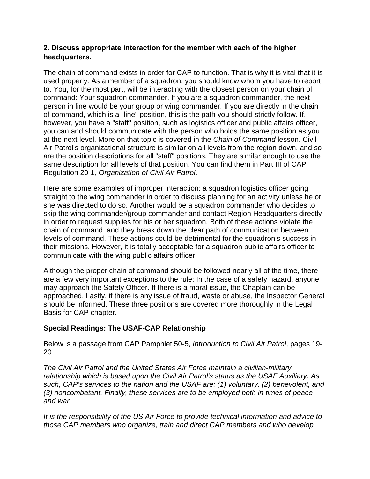#### **2. Discuss appropriate interaction for the member with each of the higher headquarters.**

The chain of command exists in order for CAP to function. That is why it is vital that it is used properly. As a member of a squadron, you should know whom you have to report to. You, for the most part, will be interacting with the closest person on your chain of command: Your squadron commander. If you are a squadron commander, the next person in line would be your group or wing commander. If you are directly in the chain of command, which is a "line" position, this is the path you should strictly follow. If, however, you have a "staff" position, such as logistics officer and public affairs officer, you can and should communicate with the person who holds the same position as you at the next level. More on that topic is covered in the *Chain of Command* lesson. Civil Air Patrol's organizational structure is similar on all levels from the region down, and so are the position descriptions for all "staff" positions. They are similar enough to use the same description for all levels of that position. You can find them in Part III of CAP Regulation 20-1, *Organization of Civil Air Patrol*.

Here are some examples of improper interaction: a squadron logistics officer going straight to the wing commander in order to discuss planning for an activity unless he or she was directed to do so. Another would be a squadron commander who decides to skip the wing commander/group commander and contact Region Headquarters directly in order to request supplies for his or her squadron. Both of these actions violate the chain of command, and they break down the clear path of communication between levels of command. These actions could be detrimental for the squadron's success in their missions. However, it is totally acceptable for a squadron public affairs officer to communicate with the wing public affairs officer.

Although the proper chain of command should be followed nearly all of the time, there are a few very important exceptions to the rule: In the case of a safety hazard, anyone may approach the Safety Officer. If there is a moral issue, the Chaplain can be approached. Lastly, if there is any issue of fraud, waste or abuse, the Inspector General should be informed. These three positions are covered more thoroughly in the Legal Basis for CAP chapter.

## **Special Readings: The USAF-CAP Relationship**

Below is a passage from CAP Pamphlet 50-5, *Introduction to Civil Air Patrol*, pages 19- 20.

*The Civil Air Patrol and the United States Air Force maintain a civilian-military relationship which is based upon the Civil Air Patrol's status as the USAF Auxiliary. As such, CAP's services to the nation and the USAF are: (1) voluntary, (2) benevolent, and (3) noncombatant. Finally, these services are to be employed both in times of peace and war.*

*It is the responsibility of the US Air Force to provide technical information and advice to those CAP members who organize, train and direct CAP members and who develop*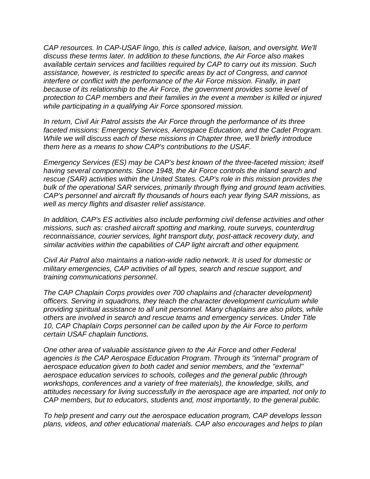*CAP resources. In CAP-USAF lingo, this is called advice, liaison, and oversight. We'll discuss these terms later. In addition to these functions, the Air Force also makes available certain services and facilities required by CAP to carry out its mission. Such assistance, however, is restricted to specific areas by act of Congress, and cannot interfere or conflict with the performance of the Air Force mission. Finally, in part because of its relationship to the Air Force, the government provides some level of protection to CAP members and their families in the event a member is killed or injured while participating in a qualifying Air Force sponsored mission.*

*In return, Civil Air Patrol assists the Air Force through the performance of its three faceted missions: Emergency Services, Aerospace Education, and the Cadet Program. While we will discuss each of these missions in Chapter three, we'll briefly introduce them here as a means to show CAP's contributions to the USAF.*

*Emergency Services (ES) may be CAP's best known of the three-faceted mission; itself having several components. Since 1948, the Air Force controls the inland search and rescue (SAR) activities within the United States. CAP's role in this mission provides the bulk of the operational SAR services, primarily through flying and ground team activities. CAP's personnel and aircraft fly thousands of hours each year flying SAR missions, as well as mercy flights and disaster relief assistance.*

*In addition, CAP's ES activities also include performing civil defense activities and other missions, such as: crashed aircraft spotting and marking, route surveys, counterdrug reconnaissance, courier services, light transport duty, post-attack recovery duty, and similar activities within the capabilities of CAP light aircraft and other equipment.*

*Civil Air Patrol also maintains a nation-wide radio network. It is used for domestic or military emergencies, CAP activities of all types, search and rescue support, and training communications personnel.*

*The CAP Chaplain Corps provides over 700 chaplains and (character development) officers. Serving in squadrons, they teach the character development curriculum while providing spiritual assistance to all unit personnel. Many chaplains are also pilots, while others are involved in search and rescue teams and emergency services. Under Title 10, CAP Chaplain Corps personnel can be called upon by the Air Force to perform certain USAF chaplain functions.*

*One other area of valuable assistance given to the Air Force and other Federal agencies is the CAP Aerospace Education Program. Through its "internal" program of aerospace education given to both cadet and senior members, and the "external" aerospace education services to schools, colleges and the general public (through workshops, conferences and a variety of free materials), the knowledge, skills, and attitudes necessary for living successfully in the aerospace age are imparted, not only to CAP members, but to educators, students and, most importantly, to the general public.*

*To help present and carry out the aerospace education program, CAP develops lesson plans, videos, and other educational materials. CAP also encourages and helps to plan*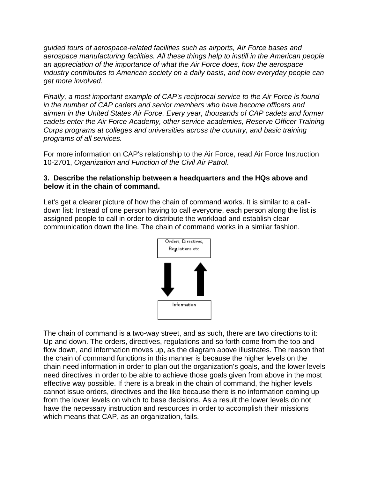*guided tours of aerospace-related facilities such as airports, Air Force bases and aerospace manufacturing facilities. All these things help to instill in the American people an appreciation of the importance of what the Air Force does, how the aerospace industry contributes to American society on a daily basis, and how everyday people can get more involved.*

*Finally, a most important example of CAP's reciprocal service to the Air Force is found in the number of CAP cadets and senior members who have become officers and airmen in the United States Air Force. Every year, thousands of CAP cadets and former cadets enter the Air Force Academy, other service academies, Reserve Officer Training Corps programs at colleges and universities across the country, and basic training programs of all services.*

For more information on CAP's relationship to the Air Force, read Air Force Instruction 10-2701, *Organization and Function of the Civil Air Patrol*.

#### **3. Describe the relationship between a headquarters and the HQs above and below it in the chain of command.**

Let's get a clearer picture of how the chain of command works. It is similar to a calldown list: Instead of one person having to call everyone, each person along the list is assigned people to call in order to distribute the workload and establish clear communication down the line. The chain of command works in a similar fashion.



The chain of command is a two-way street, and as such, there are two directions to it: Up and down. The orders, directives, regulations and so forth come from the top and flow down, and information moves up, as the diagram above illustrates. The reason that the chain of command functions in this manner is because the higher levels on the chain need information in order to plan out the organization's goals, and the lower levels need directives in order to be able to achieve those goals given from above in the most effective way possible. If there is a break in the chain of command, the higher levels cannot issue orders, directives and the like because there is no information coming up from the lower levels on which to base decisions. As a result the lower levels do not have the necessary instruction and resources in order to accomplish their missions which means that CAP, as an organization, fails.